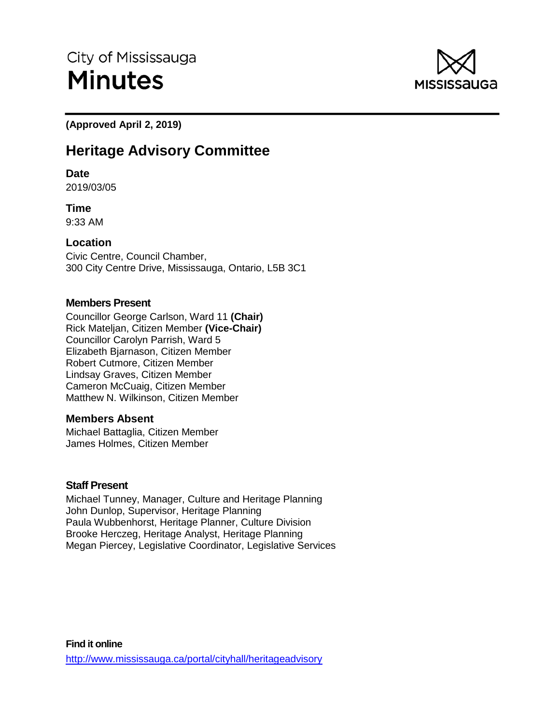

**(Approved April 2, 2019)** 

# **Heritage Advisory Committee**

# **Date**

2019/03/05

**Time** 9:33 AM

# **Location**

Civic Centre, Council Chamber, 300 City Centre Drive, Mississauga, Ontario, L5B 3C1

# **Members Present**

Councillor George Carlson, Ward 11 **(Chair)** Rick Mateljan, Citizen Member **(Vice-Chair)**  Councillor Carolyn Parrish, Ward 5 Elizabeth Bjarnason, Citizen Member Robert Cutmore, Citizen Member Lindsay Graves, Citizen Member Cameron McCuaig, Citizen Member Matthew N. Wilkinson, Citizen Member

# **Members Absent**

Michael Battaglia, Citizen Member James Holmes, Citizen Member

# **Staff Present**

Michael Tunney, Manager, Culture and Heritage Planning John Dunlop, Supervisor, Heritage Planning Paula Wubbenhorst, Heritage Planner, Culture Division Brooke Herczeg, Heritage Analyst, Heritage Planning Megan Piercey, Legislative Coordinator, Legislative Services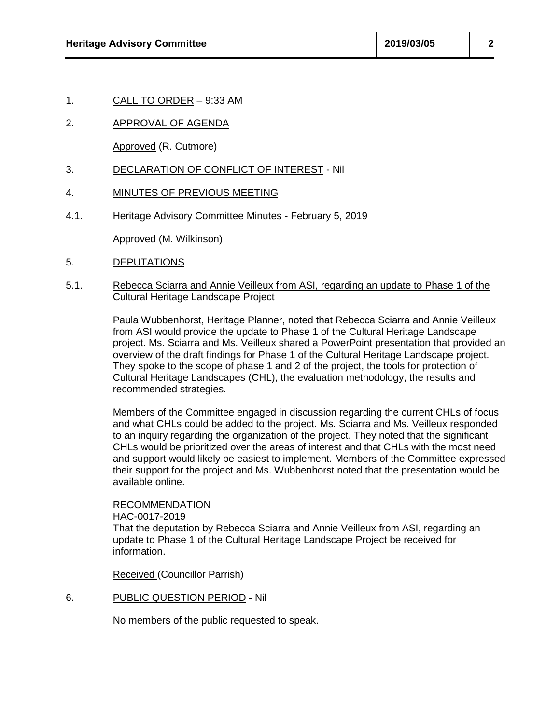1. CALL TO ORDER – 9:33 AM

# 2. APPROVAL OF AGENDA

Approved (R. Cutmore)

## 3. DECLARATION OF CONFLICT OF INTEREST - Nil

## 4. MINUTES OF PREVIOUS MEETING

4.1. Heritage Advisory Committee Minutes - February 5, 2019

Approved (M. Wilkinson)

5. DEPUTATIONS

#### 5.1. Rebecca Sciarra and Annie Veilleux from ASI, regarding an update to Phase 1 of the Cultural Heritage Landscape Project

Paula Wubbenhorst, Heritage Planner, noted that Rebecca Sciarra and Annie Veilleux from ASI would provide the update to Phase 1 of the Cultural Heritage Landscape project. Ms. Sciarra and Ms. Veilleux shared a PowerPoint presentation that provided an overview of the draft findings for Phase 1 of the Cultural Heritage Landscape project. They spoke to the scope of phase 1 and 2 of the project, the tools for protection of Cultural Heritage Landscapes (CHL), the evaluation methodology, the results and recommended strategies.

Members of the Committee engaged in discussion regarding the current CHLs of focus and what CHLs could be added to the project. Ms. Sciarra and Ms. Veilleux responded to an inquiry regarding the organization of the project. They noted that the significant CHLs would be prioritized over the areas of interest and that CHLs with the most need and support would likely be easiest to implement. Members of the Committee expressed their support for the project and Ms. Wubbenhorst noted that the presentation would be available online.

## RECOMMENDATION

#### HAC-0017-2019

That the deputation by Rebecca Sciarra and Annie Veilleux from ASI, regarding an update to Phase 1 of the Cultural Heritage Landscape Project be received for information.

Received (Councillor Parrish)

6. PUBLIC QUESTION PERIOD - Nil

No members of the public requested to speak.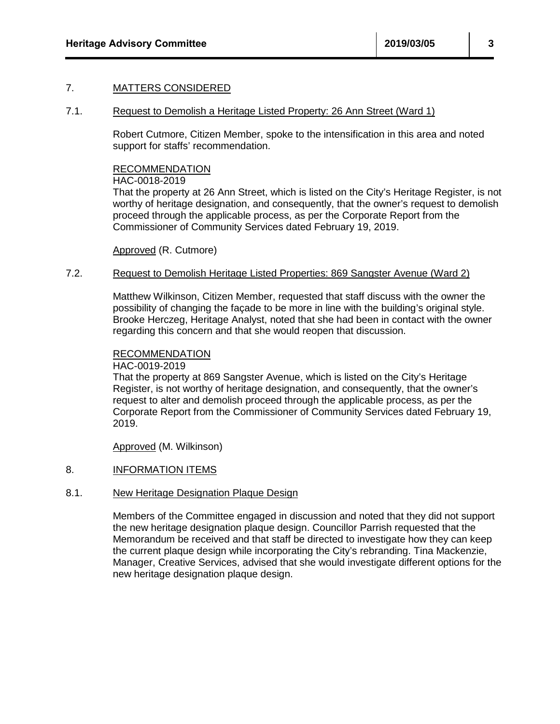# 7. MATTERS CONSIDERED

#### 7.1. Request to Demolish a Heritage Listed Property: 26 Ann Street (Ward 1)

Robert Cutmore, Citizen Member, spoke to the intensification in this area and noted support for staffs' recommendation.

## RECOMMENDATION

#### HAC-0018-2019

That the property at 26 Ann Street, which is listed on the City's Heritage Register, is not worthy of heritage designation, and consequently, that the owner's request to demolish proceed through the applicable process, as per the Corporate Report from the Commissioner of Community Services dated February 19, 2019.

Approved (R. Cutmore)

#### 7.2. Request to Demolish Heritage Listed Properties: 869 Sangster Avenue (Ward 2)

Matthew Wilkinson, Citizen Member, requested that staff discuss with the owner the possibility of changing the façade to be more in line with the building's original style. Brooke Herczeg, Heritage Analyst, noted that she had been in contact with the owner regarding this concern and that she would reopen that discussion.

## RECOMMENDATION

HAC-0019-2019

That the property at 869 Sangster Avenue, which is listed on the City's Heritage Register, is not worthy of heritage designation, and consequently, that the owner's request to alter and demolish proceed through the applicable process, as per the Corporate Report from the Commissioner of Community Services dated February 19, 2019.

Approved (M. Wilkinson)

# 8. INFORMATION ITEMS

## 8.1. New Heritage Designation Plaque Design

Members of the Committee engaged in discussion and noted that they did not support the new heritage designation plaque design. Councillor Parrish requested that the Memorandum be received and that staff be directed to investigate how they can keep the current plaque design while incorporating the City's rebranding. Tina Mackenzie, Manager, Creative Services, advised that she would investigate different options for the new heritage designation plaque design.